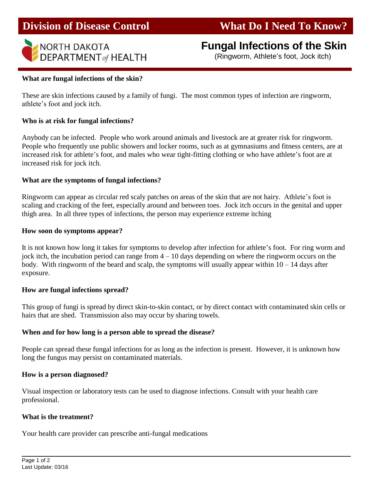# **Division of Disease Control What Do I Need To Know?**



# **Fungal Infections of the Skin**

(Ringworm, Athlete's foot, Jock itch)

### **What are fungal infections of the skin?**

These are skin infections caused by a family of fungi. The most common types of infection are ringworm, athlete's foot and jock itch.

## **Who is at risk for fungal infections?**

Anybody can be infected. People who work around animals and livestock are at greater risk for ringworm. People who frequently use public showers and locker rooms, such as at gymnasiums and fitness centers, are at increased risk for athlete's foot, and males who wear tight-fitting clothing or who have athlete's foot are at increased risk for jock itch.

## **What are the symptoms of fungal infections?**

Ringworm can appear as circular red scaly patches on areas of the skin that are not hairy. Athlete's foot is scaling and cracking of the feet, especially around and between toes. Jock itch occurs in the genital and upper thigh area. In all three types of infections, the person may experience extreme itching

### **How soon do symptoms appear?**

It is not known how long it takes for symptoms to develop after infection for athlete's foot. For ring worm and jock itch, the incubation period can range from  $4 - 10$  days depending on where the ringworm occurs on the body. With ringworm of the beard and scalp, the symptoms will usually appear within  $10 - 14$  days after exposure.

### **How are fungal infections spread?**

This group of fungi is spread by direct skin-to-skin contact, or by direct contact with contaminated skin cells or hairs that are shed. Transmission also may occur by sharing towels.

## **When and for how long is a person able to spread the disease?**

People can spread these fungal infections for as long as the infection is present. However, it is unknown how long the fungus may persist on contaminated materials.

### **How is a person diagnosed?**

Visual inspection or laboratory tests can be used to diagnose infections. Consult with your health care professional.

### **What is the treatment?**

Your health care provider can prescribe anti-fungal medications